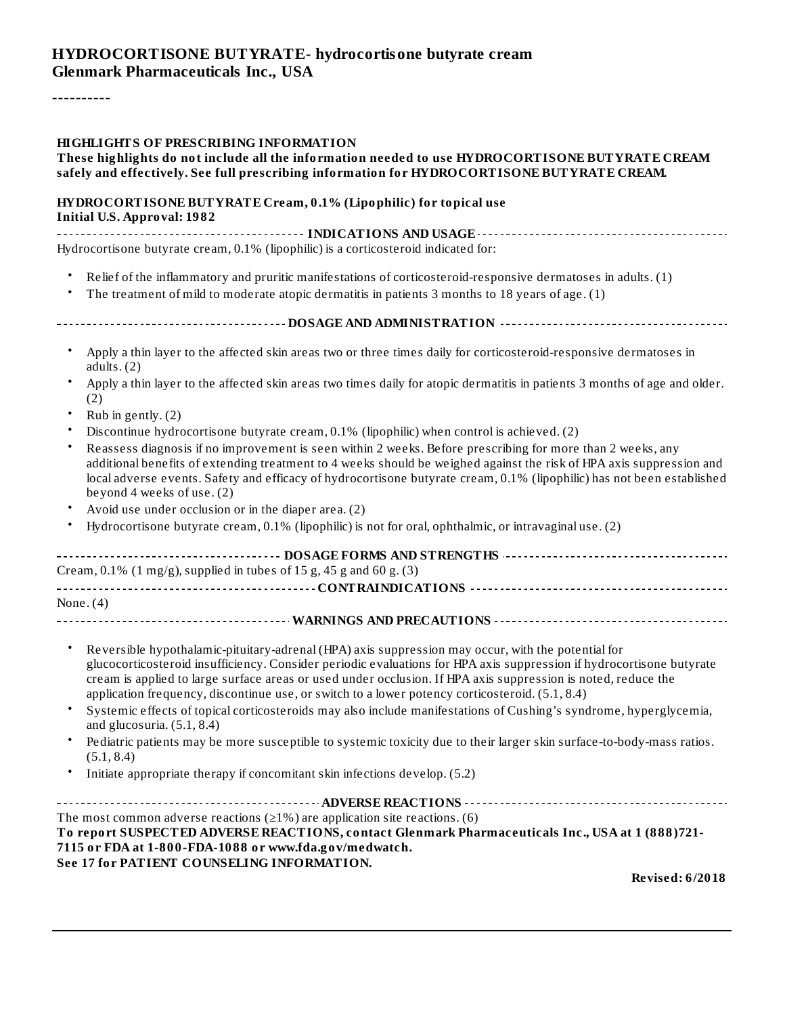#### **HYDROCORTISONE BUTYRATE- hydrocortisone butyrate cream Glenmark Pharmaceuticals Inc., USA**

----------

#### **HIGHLIGHTS OF PRESCRIBING INFORMATION**

#### **These highlights do not include all the information needed to use HYDROCORTISONE BUTYRATE CREAM safely and effectively. See full prescribing information for HYDROCORTISONE BUTYRATE CREAM.**

#### **HYDROCORTISONE BUTYRATE Cream, 0.1% (Lipophilic) for topical use Initial U.S. Approval: 1982**

**INDICATIONS AND USAGE** Hydrocortisone butyrate cream, 0.1% (lipophilic) is a corticosteroid indicated for:

- Relief of the inflammatory and pruritic manifestations of corticosteroid-responsive dermatoses in adults. (1)
- The treatment of mild to moderate atopic dermatitis in patients 3 months to 18 years of age. (1)
- **DOSAGE AND ADMINISTRATION**
	- Apply a thin layer to the affected skin areas two or three times daily for corticosteroid-responsive dermatoses in adults. (2)
	- Apply a thin layer to the affected skin areas two times daily for atopic dermatitis in patients 3 months of age and older. (2)
	- Rub in gently. (2)
	- Discontinue hydrocortisone butyrate cream, 0.1% (lipophilic) when control is achieved. (2)
	- Reassess diagnosis if no improvement is seen within 2 weeks. Before prescribing for more than 2 weeks, any additional benefits of extending treatment to 4 weeks should be weighed against the risk of HPA axis suppression and local adverse events. Safety and efficacy of hydrocortisone butyrate cream, 0.1% (lipophilic) has not been established beyond 4 weeks of use. (2)
	- Avoid use under occlusion or in the diaper area. (2)
	- Hydrocortisone butyrate cream, 0.1% (lipophilic) is not for oral, ophthalmic, or intravaginal use. (2)

| Cream, $0.1\%$ (1 mg/g), supplied in tubes of 15 g, 45 g and 60 g. (3) |  |  |  |
|------------------------------------------------------------------------|--|--|--|
|                                                                        |  |  |  |
| None. $(4)$                                                            |  |  |  |
|                                                                        |  |  |  |

- Reversible hypothalamic-pituitary-adrenal (HPA) axis suppression may occur, with the potential for glucocorticosteroid insufficiency. Consider periodic evaluations for HPA axis suppression if hydrocortisone butyrate cream is applied to large surface areas or used under occlusion. If HPA axis suppression is noted, reduce the application frequency, discontinue use, or switch to a lower potency corticosteroid. (5.1, 8.4)
- Systemic effects of topical corticosteroids may also include manifestations of Cushing's syndrome, hyperglycemia, and glucosuria. (5.1, 8.4)
- Pediatric patients may be more susceptible to systemic toxicity due to their larger skin surface-to-body-mass ratios. (5.1, 8.4)
- Initiate appropriate therapy if concomitant skin infections develop. (5.2)

**ADVERSE REACTIONS** The most common adverse reactions ( $\geq$ 1%) are application site reactions. (6) **To report SUSPECTED ADVERSE REACTIONS, contact Glenmark Pharmaceuticals Inc., USA at 1 (888)721- 7115 or FDA at 1-800-FDA-1088 or www.fda.gov/medwatch. See 17 for PATIENT COUNSELING INFORMATION.**

**Revised: 6/2018**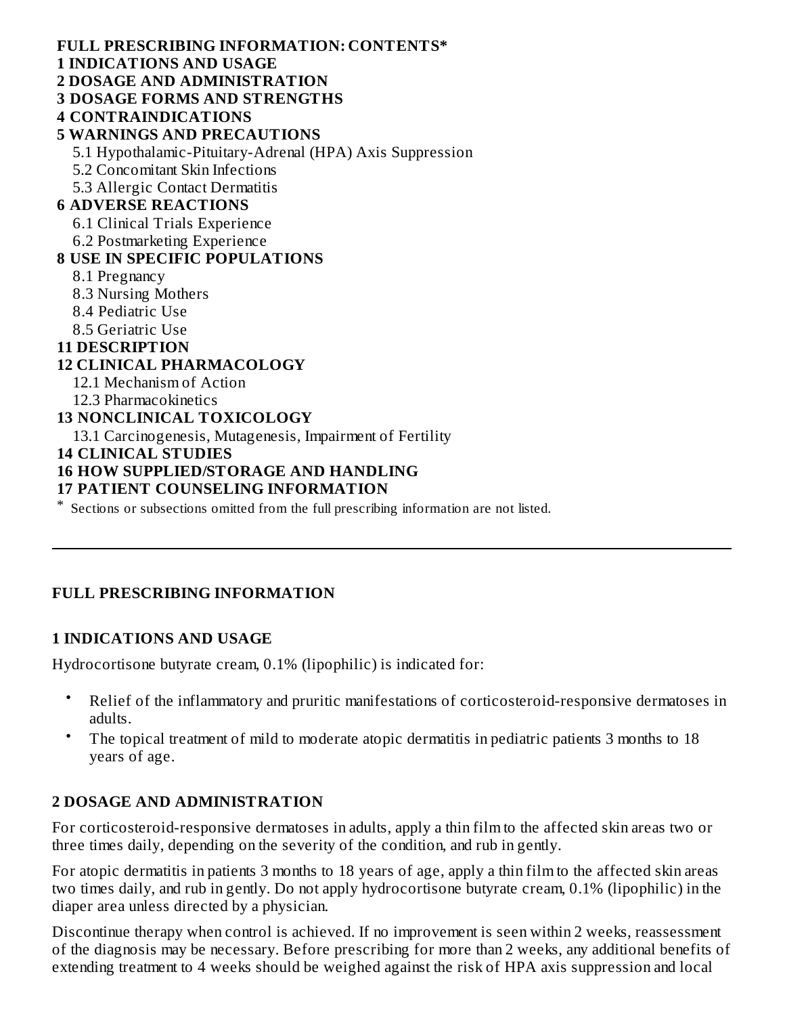**FULL PRESCRIBING INFORMATION: CONTENTS\* 1 INDICATIONS AND USAGE 2 DOSAGE AND ADMINISTRATION 3 DOSAGE FORMS AND STRENGTHS 4 CONTRAINDICATIONS 5 WARNINGS AND PRECAUTIONS** 5.1 Hypothalamic-Pituitary-Adrenal (HPA) Axis Suppression 5.2 Concomitant Skin Infections 5.3 Allergic Contact Dermatitis **6 ADVERSE REACTIONS** 6.1 Clinical Trials Experience 6.2 Postmarketing Experience **8 USE IN SPECIFIC POPULATIONS** 8.1 Pregnancy 8.3 Nursing Mothers 8.4 Pediatric Use 8.5 Geriatric Use **11 DESCRIPTION**

#### **12 CLINICAL PHARMACOLOGY**

- 12.1 Mechanism of Action
- 12.3 Pharmacokinetics

#### **13 NONCLINICAL TOXICOLOGY**

13.1 Carcinogenesis, Mutagenesis, Impairment of Fertility

#### **14 CLINICAL STUDIES**

#### **16 HOW SUPPLIED/STORAGE AND HANDLING**

#### **17 PATIENT COUNSELING INFORMATION**

\* Sections or subsections omitted from the full prescribing information are not listed.

#### **FULL PRESCRIBING INFORMATION**

#### **1 INDICATIONS AND USAGE**

Hydrocortisone butyrate cream, 0.1% (lipophilic) is indicated for:

- Relief of the inflammatory and pruritic manifestations of corticosteroid-responsive dermatoses in adults.
- The topical treatment of mild to moderate atopic dermatitis in pediatric patients 3 months to 18 years of age.

#### **2 DOSAGE AND ADMINISTRATION**

For corticosteroid-responsive dermatoses in adults, apply a thin film to the affected skin areas two or three times daily, depending on the severity of the condition, and rub in gently.

For atopic dermatitis in patients 3 months to 18 years of age, apply a thin film to the affected skin areas two times daily, and rub in gently. Do not apply hydrocortisone butyrate cream, 0.1% (lipophilic) in the diaper area unless directed by a physician.

Discontinue therapy when control is achieved. If no improvement is seen within 2 weeks, reassessment of the diagnosis may be necessary. Before prescribing for more than 2 weeks, any additional benefits of extending treatment to 4 weeks should be weighed against the risk of HPA axis suppression and local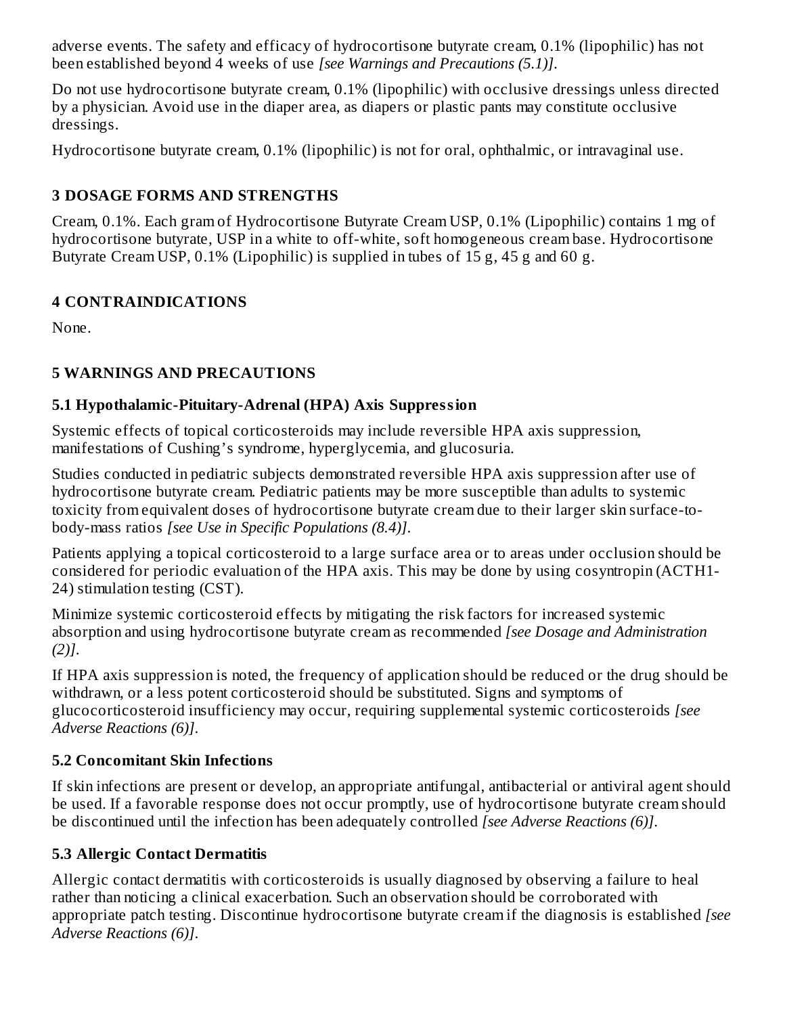adverse events. The safety and efficacy of hydrocortisone butyrate cream, 0.1% (lipophilic) has not been established beyond 4 weeks of use *[see Warnings and Precautions (5.1)]*.

Do not use hydrocortisone butyrate cream, 0.1% (lipophilic) with occlusive dressings unless directed by a physician. Avoid use in the diaper area, as diapers or plastic pants may constitute occlusive dressings.

Hydrocortisone butyrate cream, 0.1% (lipophilic) is not for oral, ophthalmic, or intravaginal use.

# **3 DOSAGE FORMS AND STRENGTHS**

Cream, 0.1%. Each gram of Hydrocortisone Butyrate Cream USP, 0.1% (Lipophilic) contains 1 mg of hydrocortisone butyrate, USP in a white to off-white, soft homogeneous cream base. Hydrocortisone Butyrate Cream USP, 0.1% (Lipophilic) is supplied in tubes of 15 g, 45 g and 60 g.

# **4 CONTRAINDICATIONS**

None.

# **5 WARNINGS AND PRECAUTIONS**

# **5.1 Hypothalamic-Pituitary-Adrenal (HPA) Axis Suppression**

Systemic effects of topical corticosteroids may include reversible HPA axis suppression, manifestations of Cushing's syndrome, hyperglycemia, and glucosuria.

Studies conducted in pediatric subjects demonstrated reversible HPA axis suppression after use of hydrocortisone butyrate cream. Pediatric patients may be more susceptible than adults to systemic toxicity from equivalent doses of hydrocortisone butyrate cream due to their larger skin surface-tobody-mass ratios *[see Use in Specific Populations (8.4)]*.

Patients applying a topical corticosteroid to a large surface area or to areas under occlusion should be considered for periodic evaluation of the HPA axis. This may be done by using cosyntropin (ACTH1- 24) stimulation testing (CST).

Minimize systemic corticosteroid effects by mitigating the risk factors for increased systemic absorption and using hydrocortisone butyrate cream as recommended *[see Dosage and Administration (2)]*.

If HPA axis suppression is noted, the frequency of application should be reduced or the drug should be withdrawn, or a less potent corticosteroid should be substituted. Signs and symptoms of glucocorticosteroid insufficiency may occur, requiring supplemental systemic corticosteroids *[see Adverse Reactions (6)]*.

# **5.2 Concomitant Skin Infections**

If skin infections are present or develop, an appropriate antifungal, antibacterial or antiviral agent should be used. If a favorable response does not occur promptly, use of hydrocortisone butyrate cream should be discontinued until the infection has been adequately controlled *[see Adverse Reactions (6)]*.

# **5.3 Allergic Contact Dermatitis**

Allergic contact dermatitis with corticosteroids is usually diagnosed by observing a failure to heal rather than noticing a clinical exacerbation. Such an observation should be corroborated with appropriate patch testing. Discontinue hydrocortisone butyrate cream if the diagnosis is established *[see Adverse Reactions (6)]*.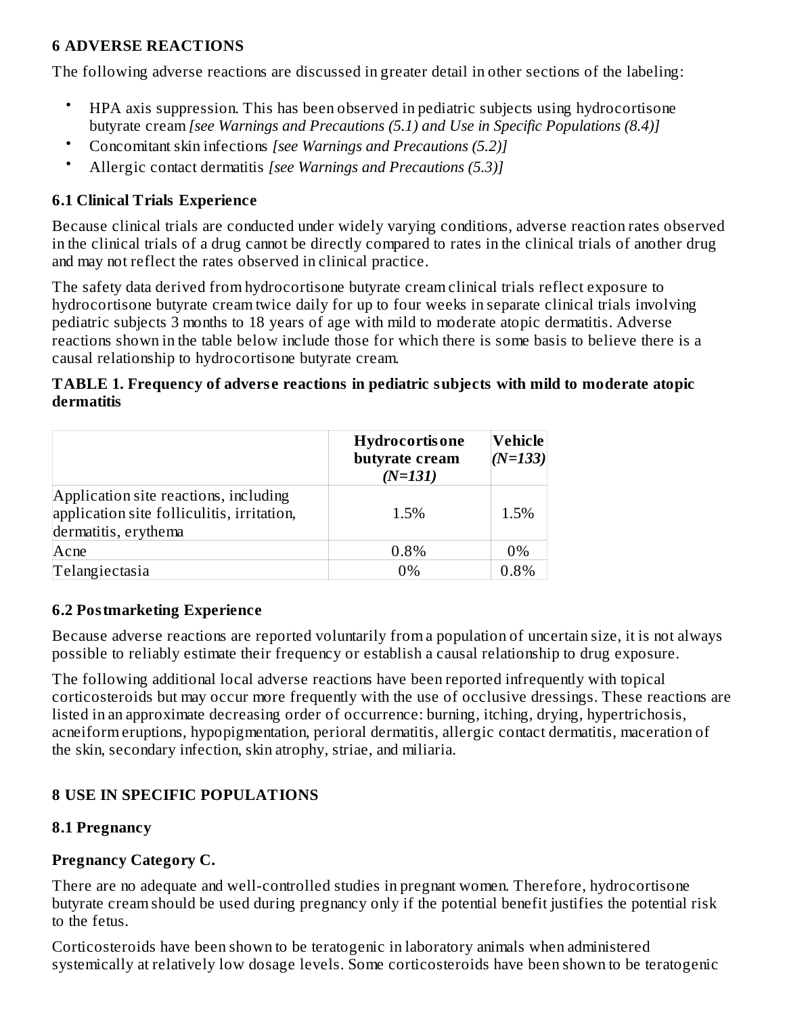## **6 ADVERSE REACTIONS**

The following adverse reactions are discussed in greater detail in other sections of the labeling:

- HPA axis suppression. This has been observed in pediatric subjects using hydrocortisone butyrate cream *[see Warnings and Precautions (5.1) and Use in Specific Populations (8.4)]*
- Concomitant skin infections *[see Warnings and Precautions (5.2)]*
- Allergic contact dermatitis *[see Warnings and Precautions (5.3)]*

# **6.1 Clinical Trials Experience**

Because clinical trials are conducted under widely varying conditions, adverse reaction rates observed in the clinical trials of a drug cannot be directly compared to rates in the clinical trials of another drug and may not reflect the rates observed in clinical practice.

The safety data derived from hydrocortisone butyrate cream clinical trials reflect exposure to hydrocortisone butyrate cream twice daily for up to four weeks in separate clinical trials involving pediatric subjects 3 months to 18 years of age with mild to moderate atopic dermatitis. Adverse reactions shown in the table below include those for which there is some basis to believe there is a causal relationship to hydrocortisone butyrate cream.

#### **TABLE 1. Frequency of advers e reactions in pediatric subjects with mild to moderate atopic dermatitis**

|                                                                                                             | <b>Hydrocortisone</b><br>butyrate cream<br>$(N=131)$ | Vehicle<br>$(N=133)$ |
|-------------------------------------------------------------------------------------------------------------|------------------------------------------------------|----------------------|
| Application site reactions, including<br>application site folliculitis, irritation,<br>dermatitis, erythema | 1.5%                                                 | 1.5%                 |
| Acne                                                                                                        | 0.8%                                                 | 0%                   |
| Telangiectasia                                                                                              | $0\%$                                                | 0.8%                 |

#### **6.2 Postmarketing Experience**

Because adverse reactions are reported voluntarily from a population of uncertain size, it is not always possible to reliably estimate their frequency or establish a causal relationship to drug exposure.

The following additional local adverse reactions have been reported infrequently with topical corticosteroids but may occur more frequently with the use of occlusive dressings. These reactions are listed in an approximate decreasing order of occurrence: burning, itching, drying, hypertrichosis, acneiform eruptions, hypopigmentation, perioral dermatitis, allergic contact dermatitis, maceration of the skin, secondary infection, skin atrophy, striae, and miliaria.

# **8 USE IN SPECIFIC POPULATIONS**

# **8.1 Pregnancy**

# **Pregnancy Category C.**

There are no adequate and well-controlled studies in pregnant women. Therefore, hydrocortisone butyrate cream should be used during pregnancy only if the potential benefit justifies the potential risk to the fetus.

Corticosteroids have been shown to be teratogenic in laboratory animals when administered systemically at relatively low dosage levels. Some corticosteroids have been shown to be teratogenic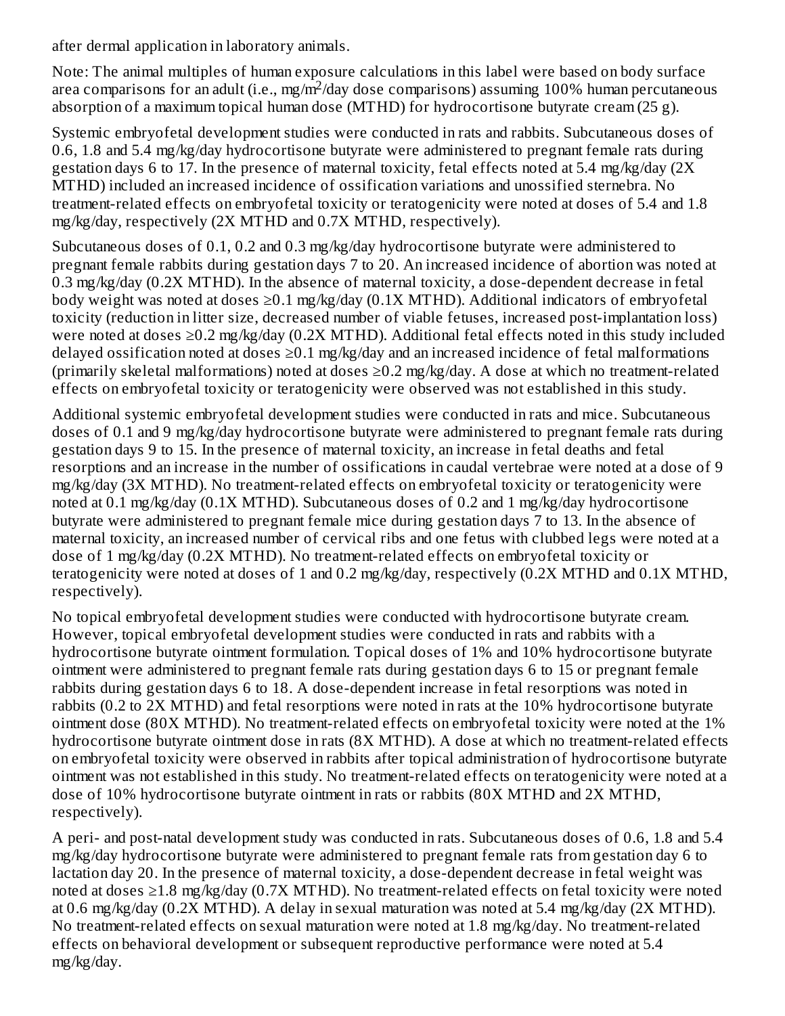after dermal application in laboratory animals.

Note: The animal multiples of human exposure calculations in this label were based on body surface area comparisons for an adult (i.e., mg/m<sup>2</sup>/day dose comparisons) assuming 100% human percutaneous absorption of a maximum topical human dose (MTHD) for hydrocortisone butyrate cream (25 g).

Systemic embryofetal development studies were conducted in rats and rabbits. Subcutaneous doses of 0.6, 1.8 and 5.4 mg/kg/day hydrocortisone butyrate were administered to pregnant female rats during gestation days 6 to 17. In the presence of maternal toxicity, fetal effects noted at 5.4 mg/kg/day (2X MTHD) included an increased incidence of ossification variations and unossified sternebra. No treatment-related effects on embryofetal toxicity or teratogenicity were noted at doses of 5.4 and 1.8 mg/kg/day, respectively (2X MTHD and 0.7X MTHD, respectively).

Subcutaneous doses of 0.1, 0.2 and 0.3 mg/kg/day hydrocortisone butyrate were administered to pregnant female rabbits during gestation days 7 to 20. An increased incidence of abortion was noted at 0.3 mg/kg/day (0.2X MTHD). In the absence of maternal toxicity, a dose-dependent decrease in fetal body weight was noted at doses  $\geq 0.1$  mg/kg/day (0.1X MTHD). Additional indicators of embryofetal toxicity (reduction in litter size, decreased number of viable fetuses, increased post-implantation loss) were noted at doses ≥0.2 mg/kg/day (0.2X MTHD). Additional fetal effects noted in this study included delayed ossification noted at doses  $\geq$ 0.1 mg/kg/day and an increased incidence of fetal malformations (primarily skeletal malformations) noted at doses ≥0.2 mg/kg/day. A dose at which no treatment-related effects on embryofetal toxicity or teratogenicity were observed was not established in this study.

Additional systemic embryofetal development studies were conducted in rats and mice. Subcutaneous doses of 0.1 and 9 mg/kg/day hydrocortisone butyrate were administered to pregnant female rats during gestation days 9 to 15. In the presence of maternal toxicity, an increase in fetal deaths and fetal resorptions and an increase in the number of ossifications in caudal vertebrae were noted at a dose of 9 mg/kg/day (3X MTHD). No treatment-related effects on embryofetal toxicity or teratogenicity were noted at 0.1 mg/kg/day (0.1X MTHD). Subcutaneous doses of 0.2 and 1 mg/kg/day hydrocortisone butyrate were administered to pregnant female mice during gestation days 7 to 13. In the absence of maternal toxicity, an increased number of cervical ribs and one fetus with clubbed legs were noted at a dose of 1 mg/kg/day (0.2X MTHD). No treatment-related effects on embryofetal toxicity or teratogenicity were noted at doses of 1 and 0.2 mg/kg/day, respectively (0.2X MTHD and 0.1X MTHD, respectively).

No topical embryofetal development studies were conducted with hydrocortisone butyrate cream. However, topical embryofetal development studies were conducted in rats and rabbits with a hydrocortisone butyrate ointment formulation. Topical doses of 1% and 10% hydrocortisone butyrate ointment were administered to pregnant female rats during gestation days 6 to 15 or pregnant female rabbits during gestation days 6 to 18. A dose-dependent increase in fetal resorptions was noted in rabbits (0.2 to 2X MTHD) and fetal resorptions were noted in rats at the 10% hydrocortisone butyrate ointment dose (80X MTHD). No treatment-related effects on embryofetal toxicity were noted at the 1% hydrocortisone butyrate ointment dose in rats (8X MTHD). A dose at which no treatment-related effects on embryofetal toxicity were observed in rabbits after topical administration of hydrocortisone butyrate ointment was not established in this study. No treatment-related effects on teratogenicity were noted at a dose of 10% hydrocortisone butyrate ointment in rats or rabbits (80X MTHD and 2X MTHD, respectively).

A peri- and post-natal development study was conducted in rats. Subcutaneous doses of 0.6, 1.8 and 5.4 mg/kg/day hydrocortisone butyrate were administered to pregnant female rats from gestation day 6 to lactation day 20. In the presence of maternal toxicity, a dose-dependent decrease in fetal weight was noted at doses ≥1.8 mg/kg/day (0.7X MTHD). No treatment-related effects on fetal toxicity were noted at 0.6 mg/kg/day (0.2X MTHD). A delay in sexual maturation was noted at 5.4 mg/kg/day (2X MTHD). No treatment-related effects on sexual maturation were noted at 1.8 mg/kg/day. No treatment-related effects on behavioral development or subsequent reproductive performance were noted at 5.4 mg/kg/day.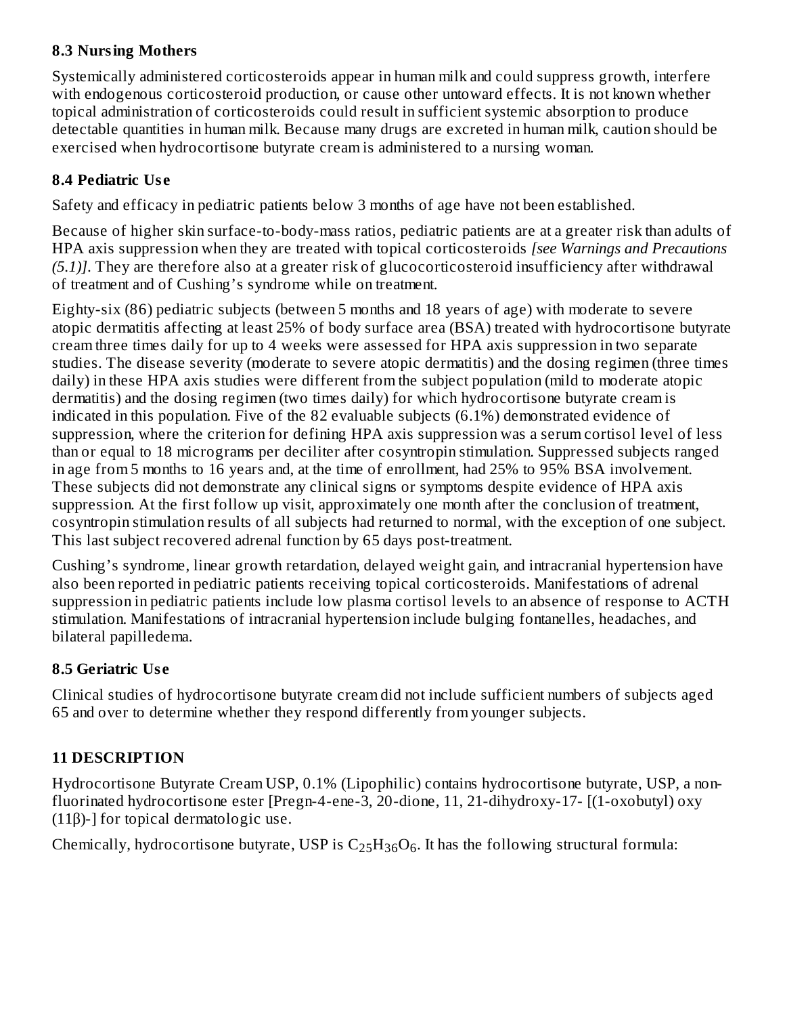## **8.3 Nursing Mothers**

Systemically administered corticosteroids appear in human milk and could suppress growth, interfere with endogenous corticosteroid production, or cause other untoward effects. It is not known whether topical administration of corticosteroids could result in sufficient systemic absorption to produce detectable quantities in human milk. Because many drugs are excreted in human milk, caution should be exercised when hydrocortisone butyrate cream is administered to a nursing woman.

# **8.4 Pediatric Us e**

Safety and efficacy in pediatric patients below 3 months of age have not been established.

Because of higher skin surface-to-body-mass ratios, pediatric patients are at a greater risk than adults of HPA axis suppression when they are treated with topical corticosteroids *[see Warnings and Precautions (5.1)]*. They are therefore also at a greater risk of glucocorticosteroid insufficiency after withdrawal of treatment and of Cushing's syndrome while on treatment.

Eighty-six (86) pediatric subjects (between 5 months and 18 years of age) with moderate to severe atopic dermatitis affecting at least 25% of body surface area (BSA) treated with hydrocortisone butyrate cream three times daily for up to 4 weeks were assessed for HPA axis suppression in two separate studies. The disease severity (moderate to severe atopic dermatitis) and the dosing regimen (three times daily) in these HPA axis studies were different from the subject population (mild to moderate atopic dermatitis) and the dosing regimen (two times daily) for which hydrocortisone butyrate cream is indicated in this population. Five of the 82 evaluable subjects (6.1%) demonstrated evidence of suppression, where the criterion for defining HPA axis suppression was a serum cortisol level of less than or equal to 18 micrograms per deciliter after cosyntropin stimulation. Suppressed subjects ranged in age from 5 months to 16 years and, at the time of enrollment, had 25% to 95% BSA involvement. These subjects did not demonstrate any clinical signs or symptoms despite evidence of HPA axis suppression. At the first follow up visit, approximately one month after the conclusion of treatment, cosyntropin stimulation results of all subjects had returned to normal, with the exception of one subject. This last subject recovered adrenal function by 65 days post-treatment.

Cushing's syndrome, linear growth retardation, delayed weight gain, and intracranial hypertension have also been reported in pediatric patients receiving topical corticosteroids. Manifestations of adrenal suppression in pediatric patients include low plasma cortisol levels to an absence of response to ACTH stimulation. Manifestations of intracranial hypertension include bulging fontanelles, headaches, and bilateral papilledema.

# **8.5 Geriatric Us e**

Clinical studies of hydrocortisone butyrate cream did not include sufficient numbers of subjects aged 65 and over to determine whether they respond differently from younger subjects.

# **11 DESCRIPTION**

Hydrocortisone Butyrate Cream USP, 0.1% (Lipophilic) contains hydrocortisone butyrate, USP, a nonfluorinated hydrocortisone ester [Pregn-4-ene-3, 20-dione, 11, 21-dihydroxy-17- [(1-oxobutyl) oxy (11β)-] for topical dermatologic use.

Chemically, hydrocortisone butyrate, USP is  $C_{25}H_{36}O_6$ . It has the following structural formula: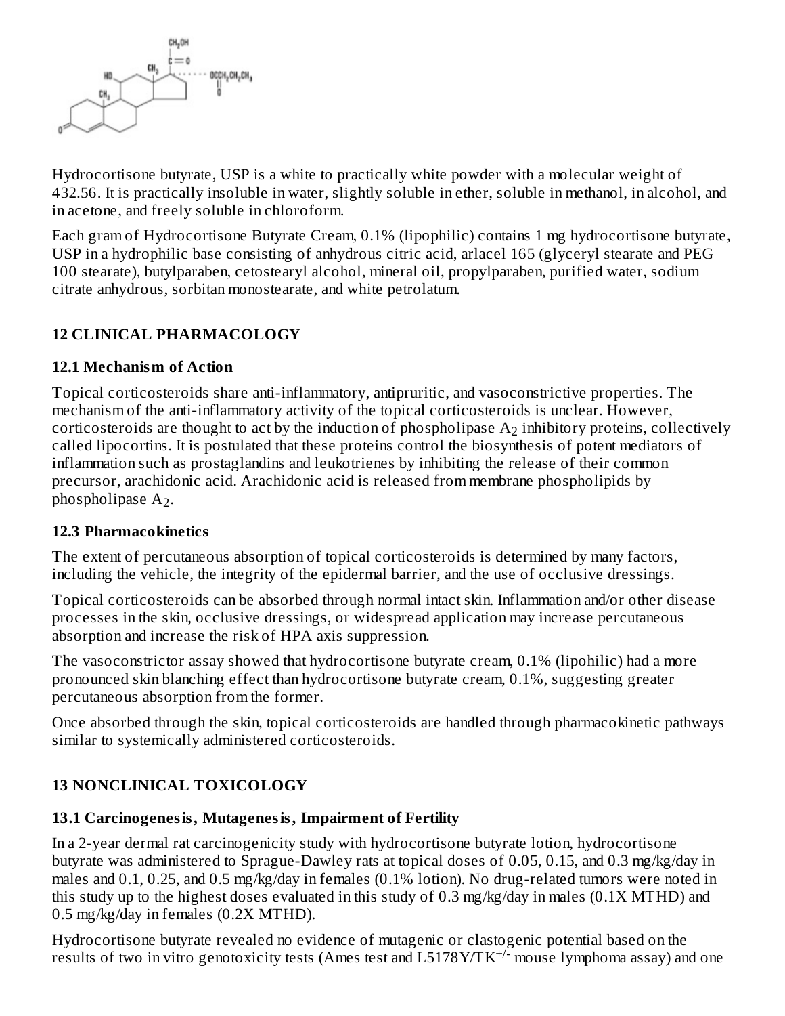

Hydrocortisone butyrate, USP is a white to practically white powder with a molecular weight of 432.56. It is practically insoluble in water, slightly soluble in ether, soluble in methanol, in alcohol, and in acetone, and freely soluble in chloroform.

Each gram of Hydrocortisone Butyrate Cream, 0.1% (lipophilic) contains 1 mg hydrocortisone butyrate, USP in a hydrophilic base consisting of anhydrous citric acid, arlacel 165 (glyceryl stearate and PEG 100 stearate), butylparaben, cetostearyl alcohol, mineral oil, propylparaben, purified water, sodium citrate anhydrous, sorbitan monostearate, and white petrolatum.

# **12 CLINICAL PHARMACOLOGY**

# **12.1 Mechanism of Action**

Topical corticosteroids share anti-inflammatory, antipruritic, and vasoconstrictive properties. The mechanism of the anti-inflammatory activity of the topical corticosteroids is unclear. However, corticosteroids are thought to act by the induction of phospholipase  $\rm A_{2}$  inhibitory proteins, collectively called lipocortins. It is postulated that these proteins control the biosynthesis of potent mediators of inflammation such as prostaglandins and leukotrienes by inhibiting the release of their common precursor, arachidonic acid. Arachidonic acid is released from membrane phospholipids by phospholipase  $A_2$ .

# **12.3 Pharmacokinetics**

The extent of percutaneous absorption of topical corticosteroids is determined by many factors, including the vehicle, the integrity of the epidermal barrier, and the use of occlusive dressings.

Topical corticosteroids can be absorbed through normal intact skin. Inflammation and/or other disease processes in the skin, occlusive dressings, or widespread application may increase percutaneous absorption and increase the risk of HPA axis suppression.

The vasoconstrictor assay showed that hydrocortisone butyrate cream, 0.1% (lipohilic) had a more pronounced skin blanching effect than hydrocortisone butyrate cream, 0.1%, suggesting greater percutaneous absorption from the former.

Once absorbed through the skin, topical corticosteroids are handled through pharmacokinetic pathways similar to systemically administered corticosteroids.

# **13 NONCLINICAL TOXICOLOGY**

#### **13.1 Carcinogenesis, Mutagenesis, Impairment of Fertility**

In a 2-year dermal rat carcinogenicity study with hydrocortisone butyrate lotion, hydrocortisone butyrate was administered to Sprague-Dawley rats at topical doses of 0.05, 0.15, and 0.3 mg/kg/day in males and 0.1, 0.25, and 0.5 mg/kg/day in females (0.1% lotion). No drug-related tumors were noted in this study up to the highest doses evaluated in this study of 0.3 mg/kg/day in males (0.1X MTHD) and 0.5 mg/kg/day in females (0.2X MTHD).

Hydrocortisone butyrate revealed no evidence of mutagenic or clastogenic potential based on the results of two in vitro genotoxicity tests (Ames test and  $L5178Y/TK^{+/-}$  mouse lymphoma assay) and one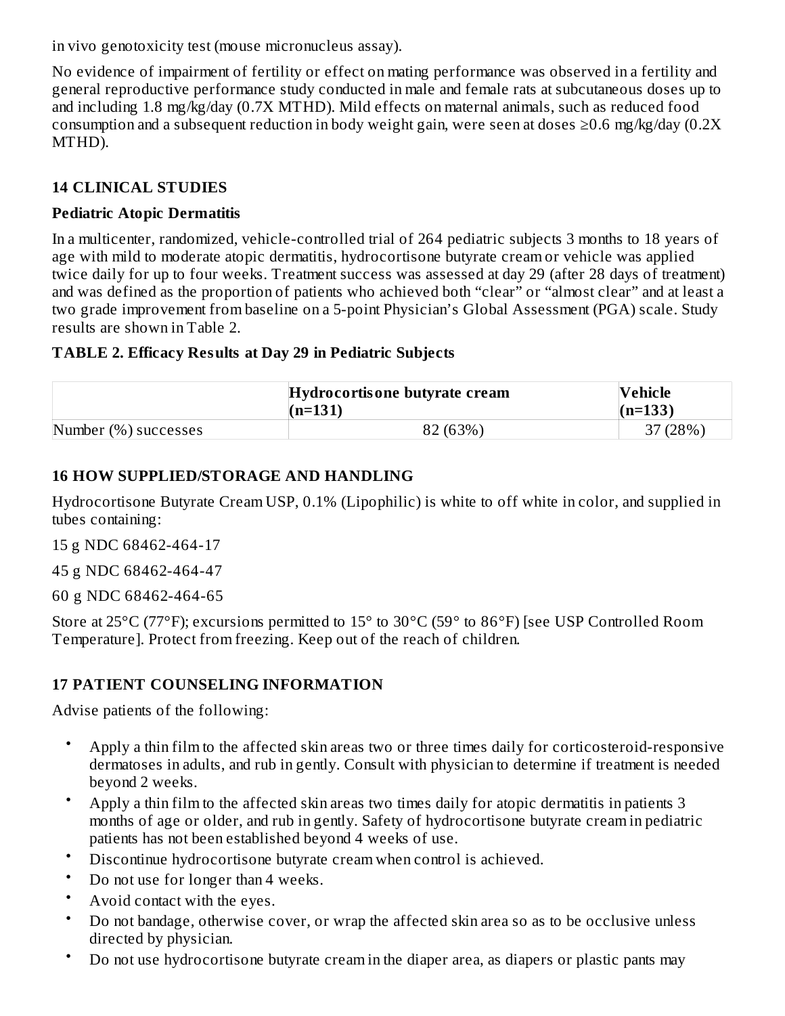in vivo genotoxicity test (mouse micronucleus assay).

No evidence of impairment of fertility or effect on mating performance was observed in a fertility and general reproductive performance study conducted in male and female rats at subcutaneous doses up to and including 1.8 mg/kg/day (0.7X MTHD). Mild effects on maternal animals, such as reduced food consumption and a subsequent reduction in body weight gain, were seen at doses  $\geq 0.6$  mg/kg/day (0.2X) MTHD).

# **14 CLINICAL STUDIES**

### **Pediatric Atopic Dermatitis**

In a multicenter, randomized, vehicle-controlled trial of 264 pediatric subjects 3 months to 18 years of age with mild to moderate atopic dermatitis, hydrocortisone butyrate cream or vehicle was applied twice daily for up to four weeks. Treatment success was assessed at day 29 (after 28 days of treatment) and was defined as the proportion of patients who achieved both "clear" or "almost clear" and at least a two grade improvement from baseline on a 5-point Physician's Global Assessment (PGA) scale. Study results are shown in Table 2.

## **TABLE 2. Efficacy Results at Day 29 in Pediatric Subjects**

|                      | Hydrocortisone butyrate cream<br>$(n=131)$ | Vehicle<br>$(n=133)$ |
|----------------------|--------------------------------------------|----------------------|
| Number (%) successes | 82 (63%)                                   | 37 (28%)             |

## **16 HOW SUPPLIED/STORAGE AND HANDLING**

Hydrocortisone Butyrate Cream USP, 0.1% (Lipophilic) is white to off white in color, and supplied in tubes containing:

15 g NDC 68462-464-17

45 g NDC 68462-464-47

60 g NDC 68462-464-65

Store at 25°C (77°F); excursions permitted to 15° to 30°C (59° to 86°F) [see USP Controlled Room Temperature]. Protect from freezing. Keep out of the reach of children.

# **17 PATIENT COUNSELING INFORMATION**

Advise patients of the following:

- Apply a thin film to the affected skin areas two or three times daily for corticosteroid-responsive dermatoses in adults, and rub in gently. Consult with physician to determine if treatment is needed beyond 2 weeks.
- Apply a thin film to the affected skin areas two times daily for atopic dermatitis in patients 3 months of age or older, and rub in gently. Safety of hydrocortisone butyrate cream in pediatric patients has not been established beyond 4 weeks of use.
- Discontinue hydrocortisone butyrate cream when control is achieved.
- Do not use for longer than 4 weeks.
- Avoid contact with the eyes.
- Do not bandage, otherwise cover, or wrap the affected skin area so as to be occlusive unless directed by physician.
- Do not use hydrocortisone butyrate cream in the diaper area, as diapers or plastic pants may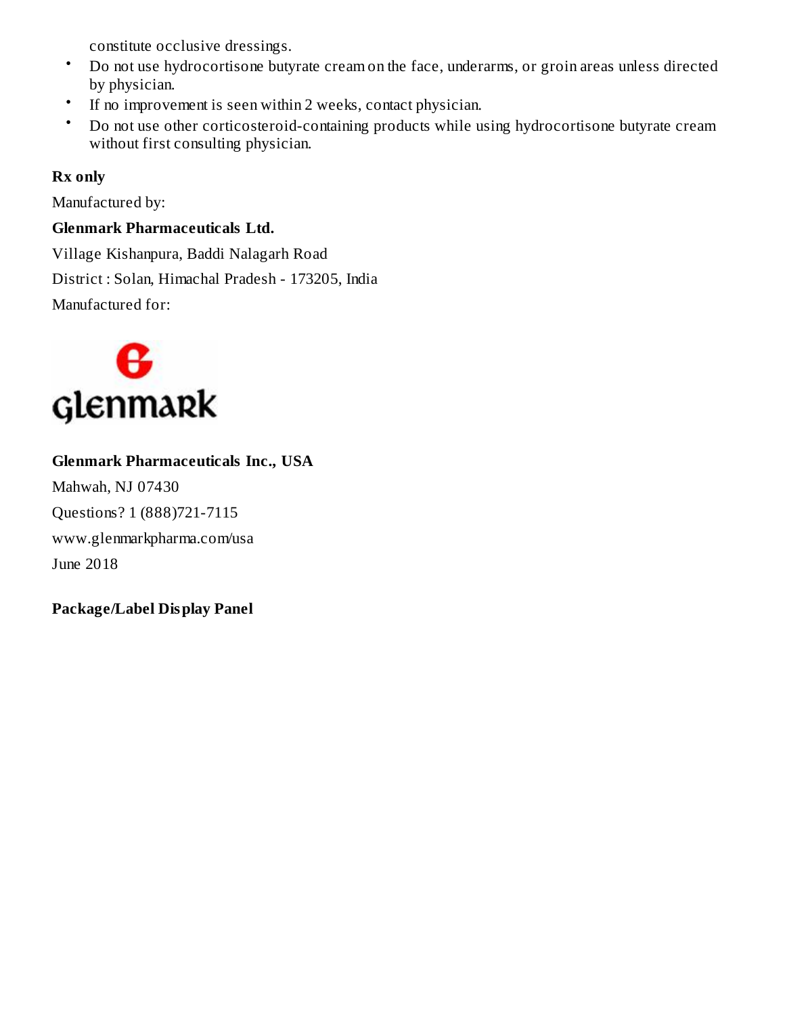constitute occlusive dressings.

- Do not use hydrocortisone butyrate cream on the face, underarms, or groin areas unless directed by physician.
- If no improvement is seen within 2 weeks, contact physician.
- Do not use other corticosteroid-containing products while using hydrocortisone butyrate cream without first consulting physician.

# **Rx only**

Manufactured by:

# **Glenmark Pharmaceuticals Ltd.**

Village Kishanpura, Baddi Nalagarh Road District : Solan, Himachal Pradesh - 173205, India Manufactured for:



# **Glenmark Pharmaceuticals Inc., USA**

Mahwah, NJ 07430 Questions? 1 (888)721-7115 www.glenmarkpharma.com/usa June 2018

**Package/Label Display Panel**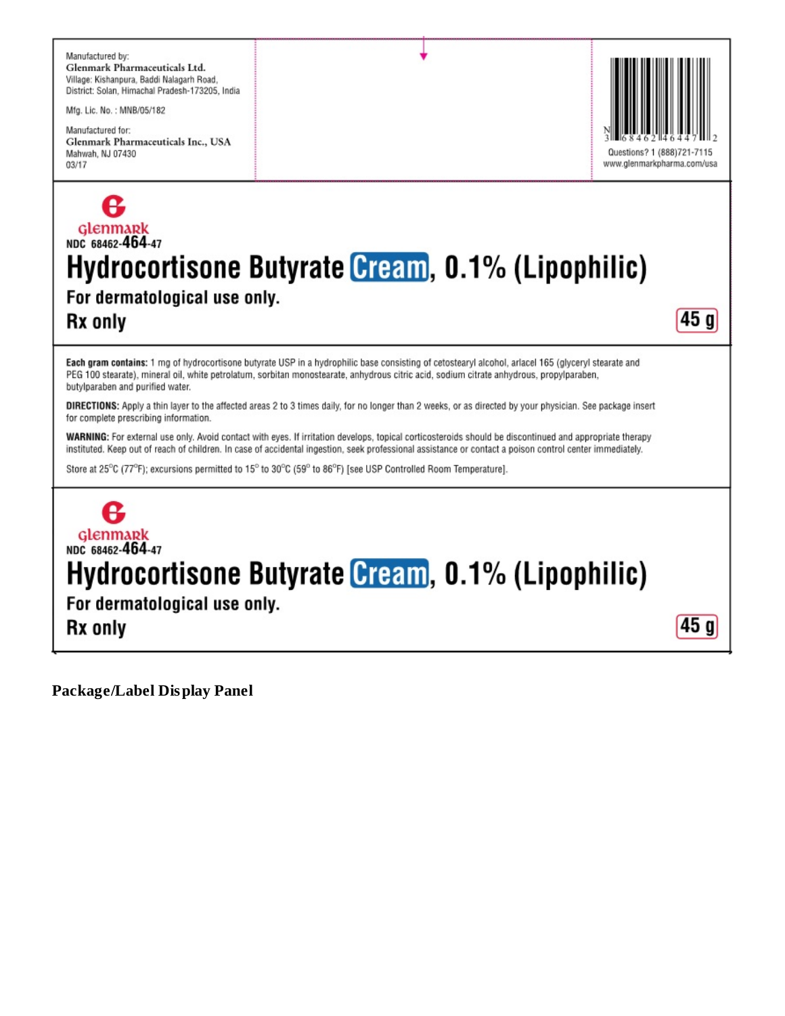

**Rx only** 

 $45<sub>q</sub>$ 

Each gram contains: 1 mg of hydrocortisone butyrate USP in a hydrophilic base consisting of cetostearyl alcohol, arlacel 165 (glyceryl stearate and PEG 100 stearate), mineral oil, white petrolatum, sorbitan monostearate, anhydrous citric acid, sodium citrate anhydrous, propylparaben, butylparaben and purified water.

DIRECTIONS: Apply a thin layer to the affected areas 2 to 3 times daily, for no longer than 2 weeks, or as directed by your physician. See package insert for complete prescribing information.

WARNING: For external use only. Avoid contact with eyes. If irritation develops, topical corticosteroids should be discontinued and appropriate therapy instituted. Keep out of reach of children. In case of accidental ingestion, seek professional assistance or contact a poison control center immediately.

Store at 25°C (77°F); excursions permitted to 15° to 30°C (59° to 86°F) [see USP Controlled Room Temperature].

# Glenmark<br>NDC 68462-464-47 Hydrocortisone Butyrate Cream, 0.1% (Lipophilic) For dermatological use only.  $45<sub>q</sub>$ **Rx only**

**Package/Label Display Panel**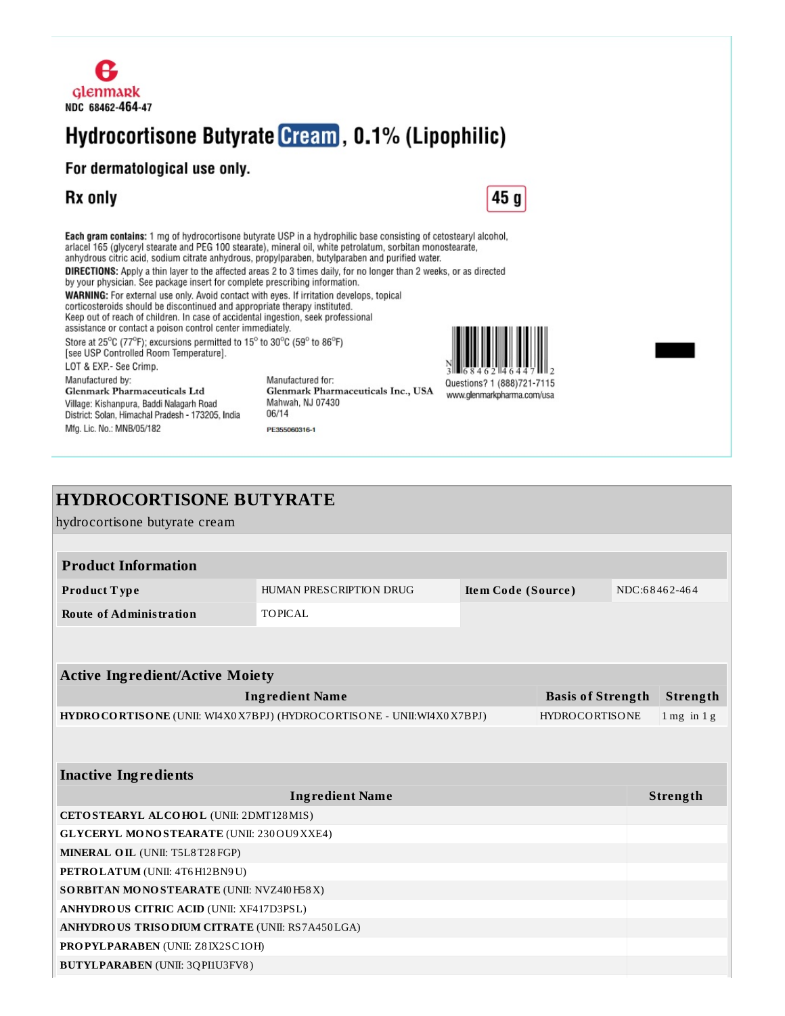

# Hydrocortisone Butyrate Cream, 0.1% (Lipophilic)

#### For dermatological use only.

District: Solan, Himachal Pradesh - 173205, India

Mfg. Lic. No.: MNB/05/182

# **Rx only**



Each gram contains: 1 mg of hydrocortisone butyrate USP in a hydrophilic base consisting of cetostearyl alcohol, arlacel 165 (glyceryl stearate and PEG 100 stearate), mineral oil, white petrolatum, sorbitan monostearate, anhydrous citric acid, sodium citrate anhydrous, propylparaben, butylparaben and purified water. **DIRECTIONS:** Apply a thin layer to the affected areas 2 to 3 times daily, for no longer than 2 weeks, or as directed by your physician. See package insert for complete prescribing information. WARNING: For external use only. Avoid contact with eyes. If irritation develops, topical corticosteroids should be discontinued and appropriate therapy instituted. Keep out of reach of children. In case of accidental ingestion, seek professional assistance or contact a poison control center immediately. Store at 25°C (77°F); excursions permitted to 15° to 30°C (59° to 86°F) [see USP Controlled Room Temperature]. LOT & EXP.- See Crimp. Manufactured by: Manufactured for: Questions? 1 (888)721-7115 Glenmark Pharmaceuticals Inc., USA Glenmark Pharmaceuticals Ltd www.glenmarkpharma.com/usa Village: Kishanpura, Baddi Nalagarh Road Mahwah, NJ 07430

06/14

PE355060316-1

| <b>HYDROCORTISONE BUTYRATE</b>                                                                |                        |  |  |               |                 |
|-----------------------------------------------------------------------------------------------|------------------------|--|--|---------------|-----------------|
| hydrocortisone butyrate cream                                                                 |                        |  |  |               |                 |
|                                                                                               |                        |  |  |               |                 |
| <b>Product Information</b>                                                                    |                        |  |  |               |                 |
| HUMAN PRESCRIPTION DRUG<br>Item Code (Source)<br>Product Type                                 |                        |  |  | NDC:68462-464 |                 |
| <b>Route of Administration</b>                                                                | <b>TOPICAL</b>         |  |  |               |                 |
|                                                                                               |                        |  |  |               |                 |
|                                                                                               |                        |  |  |               |                 |
| <b>Active Ingredient/Active Moiety</b>                                                        |                        |  |  |               |                 |
| <b>Ingredient Name</b><br><b>Basis of Strength</b>                                            |                        |  |  |               | Strength        |
| HYDROCORTISONE (UNII: WI4X0X7BPJ) (HYDROCORTISONE - UNII:WI4X0X7BPJ)<br><b>HYDROCORTISONE</b> |                        |  |  |               | $1$ mg in $1$ g |
|                                                                                               |                        |  |  |               |                 |
|                                                                                               |                        |  |  |               |                 |
| <b>Inactive Ingredients</b>                                                                   |                        |  |  |               |                 |
|                                                                                               | <b>Ingredient Name</b> |  |  |               | Strength        |
| CETOSTEARYL ALCOHOL (UNII: 2DMT128M1S)                                                        |                        |  |  |               |                 |
| <b>GLYCERYL MONOSTEARATE (UNII: 230 OU9 XXE4)</b>                                             |                        |  |  |               |                 |
| MINERAL OIL (UNII: T5L8T28FGP)                                                                |                        |  |  |               |                 |
| PETROLATUM (UNII: 4T6H12BN9U)                                                                 |                        |  |  |               |                 |
| SORBITAN MONOSTEARATE (UNII: NVZ4I0H58X)                                                      |                        |  |  |               |                 |
| <b>ANHYDROUS CITRIC ACID (UNII: XF417D3PSL)</b>                                               |                        |  |  |               |                 |
| ANHYDROUS TRISODIUM CITRATE (UNII: RS7A450LGA)                                                |                        |  |  |               |                 |
| <b>PROPYLPARABEN (UNII: Z8IX2SC1OH)</b>                                                       |                        |  |  |               |                 |
| <b>BUTYLPARABEN</b> (UNII: 3QPI1U3FV8)                                                        |                        |  |  |               |                 |